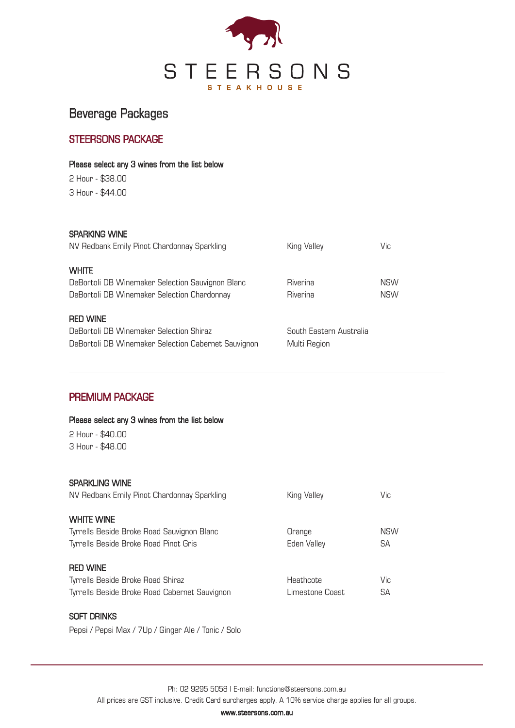

# Beverage Packages

### STEERSONS PACKAGE

#### Please select any 3 wines from the list below

2 Hour - \$38.00 3 Hour - \$44.00

### SPARKING WINE

| NV Redbank Emily Pinot Chardonnay Sparkling         | King Valley             | Vic        |
|-----------------------------------------------------|-------------------------|------------|
| <b>WHITE</b>                                        |                         |            |
| DeBortoli DB Winemaker Selection Sauvignon Blanc    | Riverina                | <b>NSW</b> |
| DeBortoli DB Winemaker Selection Chardonnay         | Riverina                | <b>NSW</b> |
| <b>RED WINE</b>                                     |                         |            |
| DeBortoli DB Winemaker Selection Shiraz             | South Eastern Australia |            |
| DeBortoli DB Winemaker Selection Cabernet Sauvignon | Multi Region            |            |

### PREMIUM PACKAGE

 $2$  Hour -  $R$ 40.00

Please select any 3 wines from the list below

| ∟ ⊔∪u ⊎⊤∪.∪∪<br>3 Hour - \$48.00                                     |                 |            |
|----------------------------------------------------------------------|-----------------|------------|
| <b>SPARKLING WINE</b><br>NV Redbank Emily Pinot Chardonnay Sparkling | King Valley     | Vic        |
| <b>WHITE WINE</b>                                                    |                 |            |
| Tyrrells Beside Broke Road Sauvignon Blanc                           | Orange          | <b>NSW</b> |
| Tyrrells Beside Broke Road Pinot Gris                                | Eden Valley     | SA         |
| <b>RED WINE</b>                                                      |                 |            |
| Tyrrells Beside Broke Road Shiraz                                    | Heathcote       | Vic        |
| Tyrrells Beside Broke Road Cabernet Sauvignon                        | Limestone Coast | SA         |

### SOFT DRINKS

Pepsi / Pepsi Max / 7Up / Ginger Ale / Tonic / Solo

Ph: 02 9295 5058 l E-mail: functions@steersons.com.au

All prices are GST inclusive. Credit Card surcharges apply. A 10% service charge applies for all groups.

www.steersons.com.au